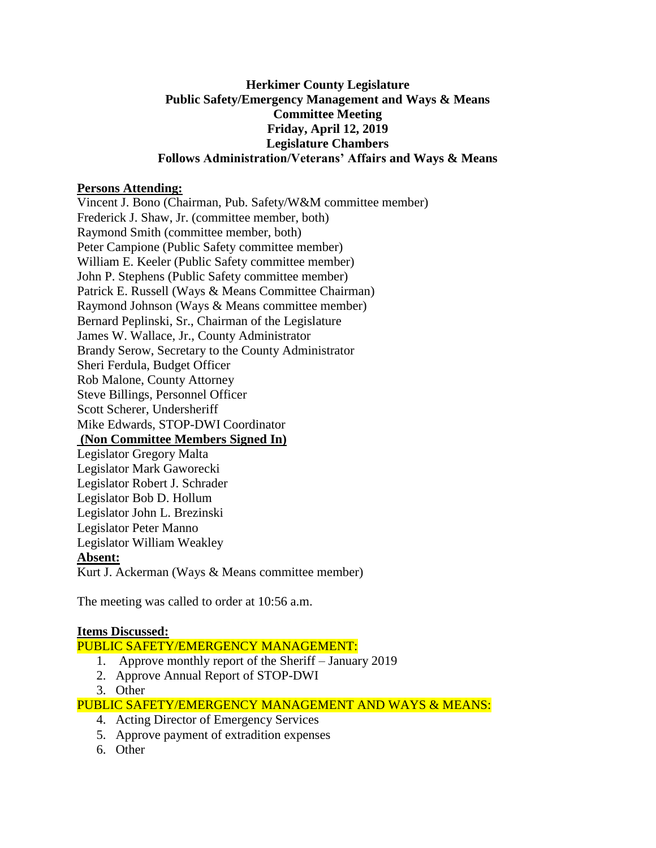### **Herkimer County Legislature Public Safety/Emergency Management and Ways & Means Committee Meeting Friday, April 12, 2019 Legislature Chambers Follows Administration/Veterans' Affairs and Ways & Means**

### **Persons Attending:**

Vincent J. Bono (Chairman, Pub. Safety/W&M committee member) Frederick J. Shaw, Jr. (committee member, both) Raymond Smith (committee member, both) Peter Campione (Public Safety committee member) William E. Keeler (Public Safety committee member) John P. Stephens (Public Safety committee member) Patrick E. Russell (Ways & Means Committee Chairman) Raymond Johnson (Ways & Means committee member) Bernard Peplinski, Sr., Chairman of the Legislature James W. Wallace, Jr., County Administrator Brandy Serow, Secretary to the County Administrator Sheri Ferdula, Budget Officer Rob Malone, County Attorney Steve Billings, Personnel Officer Scott Scherer, Undersheriff Mike Edwards, STOP-DWI Coordinator **(Non Committee Members Signed In)** Legislator Gregory Malta Legislator Mark Gaworecki Legislator Robert J. Schrader Legislator Bob D. Hollum Legislator John L. Brezinski Legislator Peter Manno Legislator William Weakley **Absent:** Kurt J. Ackerman (Ways & Means committee member)

The meeting was called to order at 10:56 a.m.

# **Items Discussed:**

# PUBLIC SAFETY/EMERGENCY MANAGEMENT:

- 1. Approve monthly report of the Sheriff January 2019
- 2. Approve Annual Report of STOP-DWI
- 3. Other

# PUBLIC SAFETY/EMERGENCY MANAGEMENT AND WAYS & MEANS:

- 4. Acting Director of Emergency Services
- 5. Approve payment of extradition expenses
- 6. Other